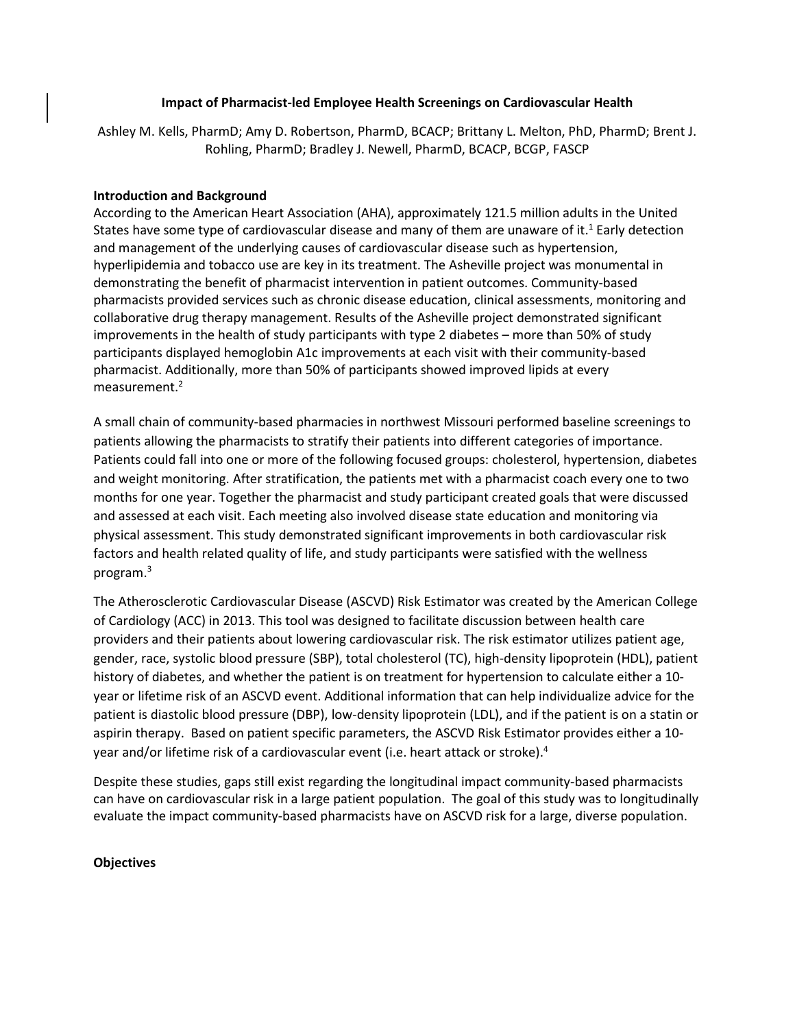## **Impact of Pharmacist-led Employee Health Screenings on Cardiovascular Health**

Ashley M. Kells, PharmD; Amy D. Robertson, PharmD, BCACP; Brittany L. Melton, PhD, PharmD; Brent J. Rohling, PharmD; Bradley J. Newell, PharmD, BCACP, BCGP, FASCP

### **Introduction and Background**

According to the American Heart Association (AHA), approximately 121.5 million adults in the United States have some type of cardiovascular disease and many of them are unaware of it.<sup>1</sup> Early detection and management of the underlying causes of cardiovascular disease such as hypertension, hyperlipidemia and tobacco use are key in its treatment. The Asheville project was monumental in demonstrating the benefit of pharmacist intervention in patient outcomes. Community-based pharmacists provided services such as chronic disease education, clinical assessments, monitoring and collaborative drug therapy management. Results of the Asheville project demonstrated significant improvements in the health of study participants with type 2 diabetes – more than 50% of study participants displayed hemoglobin A1c improvements at each visit with their community-based pharmacist. Additionally, more than 50% of participants showed improved lipids at every measurement.2

A small chain of community-based pharmacies in northwest Missouri performed baseline screenings to patients allowing the pharmacists to stratify their patients into different categories of importance. Patients could fall into one or more of the following focused groups: cholesterol, hypertension, diabetes and weight monitoring. After stratification, the patients met with a pharmacist coach every one to two months for one year. Together the pharmacist and study participant created goals that were discussed and assessed at each visit. Each meeting also involved disease state education and monitoring via physical assessment. This study demonstrated significant improvements in both cardiovascular risk factors and health related quality of life, and study participants were satisfied with the wellness program.3

The Atherosclerotic Cardiovascular Disease (ASCVD) Risk Estimator was created by the American College of Cardiology (ACC) in 2013. This tool was designed to facilitate discussion between health care providers and their patients about lowering cardiovascular risk. The risk estimator utilizes patient age, gender, race, systolic blood pressure (SBP), total cholesterol (TC), high-density lipoprotein (HDL), patient history of diabetes, and whether the patient is on treatment for hypertension to calculate either a 10 year or lifetime risk of an ASCVD event. Additional information that can help individualize advice for the patient is diastolic blood pressure (DBP), low-density lipoprotein (LDL), and if the patient is on a statin or aspirin therapy. Based on patient specific parameters, the ASCVD Risk Estimator provides either a 10 year and/or lifetime risk of a cardiovascular event (i.e. heart attack or stroke). 4

Despite these studies, gaps still exist regarding the longitudinal impact community-based pharmacists can have on cardiovascular risk in a large patient population. The goal of this study was to longitudinally evaluate the impact community-based pharmacists have on ASCVD risk for a large, diverse population.

# **Objectives**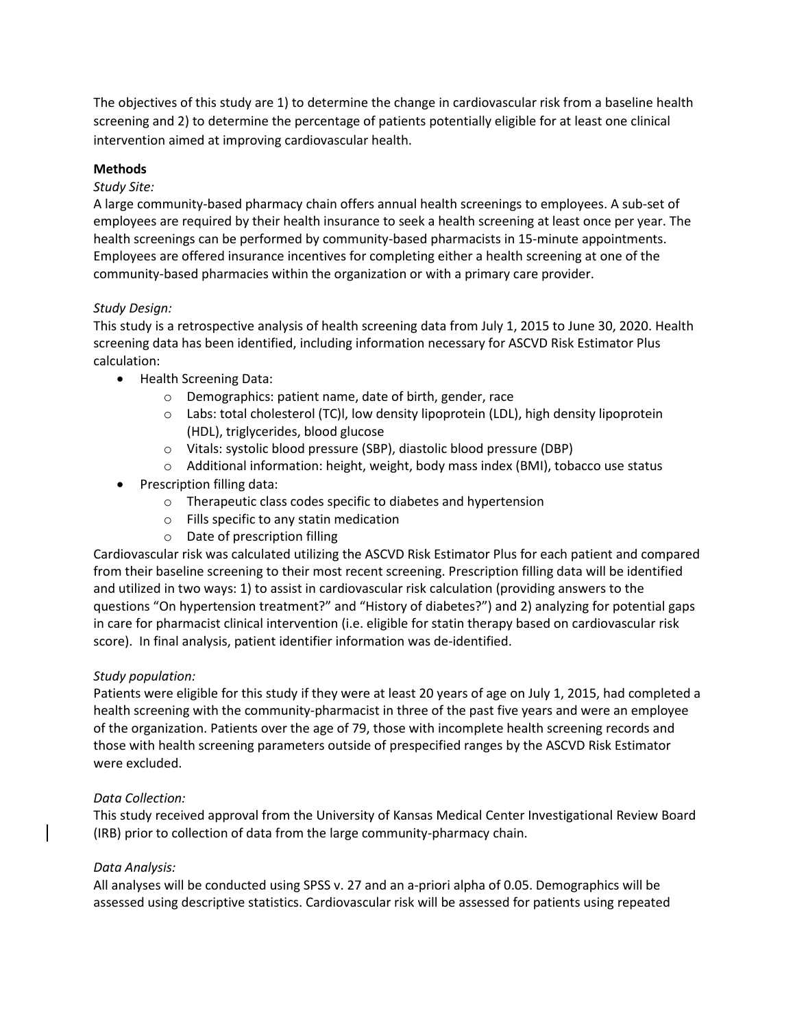The objectives of this study are 1) to determine the change in cardiovascular risk from a baseline health screening and 2) to determine the percentage of patients potentially eligible for at least one clinical intervention aimed at improving cardiovascular health.

# **Methods**

# *Study Site:*

A large community-based pharmacy chain offers annual health screenings to employees. A sub-set of employees are required by their health insurance to seek a health screening at least once per year. The health screenings can be performed by community-based pharmacists in 15-minute appointments. Employees are offered insurance incentives for completing either a health screening at one of the community-based pharmacies within the organization or with a primary care provider.

# *Study Design:*

This study is a retrospective analysis of health screening data from July 1, 2015 to June 30, 2020. Health screening data has been identified, including information necessary for ASCVD Risk Estimator Plus calculation:

- Health Screening Data:
	- o Demographics: patient name, date of birth, gender, race
	- o Labs: total cholesterol (TC)l, low density lipoprotein (LDL), high density lipoprotein (HDL), triglycerides, blood glucose
	- o Vitals: systolic blood pressure (SBP), diastolic blood pressure (DBP)
	- o Additional information: height, weight, body mass index (BMI), tobacco use status
- Prescription filling data:
	- o Therapeutic class codes specific to diabetes and hypertension
	- o Fills specific to any statin medication
	- o Date of prescription filling

Cardiovascular risk was calculated utilizing the ASCVD Risk Estimator Plus for each patient and compared from their baseline screening to their most recent screening. Prescription filling data will be identified and utilized in two ways: 1) to assist in cardiovascular risk calculation (providing answers to the questions "On hypertension treatment?" and "History of diabetes?") and 2) analyzing for potential gaps in care for pharmacist clinical intervention (i.e. eligible for statin therapy based on cardiovascular risk score). In final analysis, patient identifier information was de-identified.

# *Study population:*

Patients were eligible for this study if they were at least 20 years of age on July 1, 2015, had completed a health screening with the community-pharmacist in three of the past five years and were an employee of the organization. Patients over the age of 79, those with incomplete health screening records and those with health screening parameters outside of prespecified ranges by the ASCVD Risk Estimator were excluded.

# *Data Collection:*

This study received approval from the University of Kansas Medical Center Investigational Review Board (IRB) prior to collection of data from the large community-pharmacy chain.

# *Data Analysis:*

All analyses will be conducted using SPSS v. 27 and an a-priori alpha of 0.05. Demographics will be assessed using descriptive statistics. Cardiovascular risk will be assessed for patients using repeated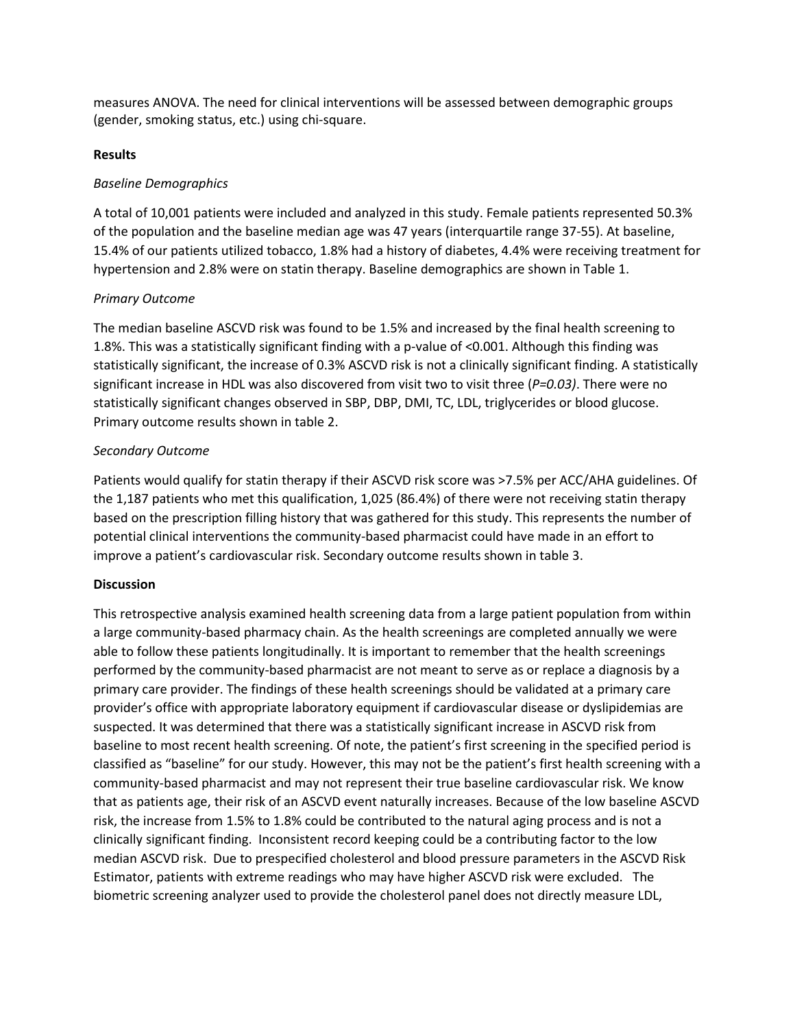measures ANOVA. The need for clinical interventions will be assessed between demographic groups (gender, smoking status, etc.) using chi-square.

### **Results**

## *Baseline Demographics*

A total of 10,001 patients were included and analyzed in this study. Female patients represented 50.3% of the population and the baseline median age was 47 years (interquartile range 37-55). At baseline, 15.4% of our patients utilized tobacco, 1.8% had a history of diabetes, 4.4% were receiving treatment for hypertension and 2.8% were on statin therapy. Baseline demographics are shown in Table 1.

### *Primary Outcome*

The median baseline ASCVD risk was found to be 1.5% and increased by the final health screening to 1.8%. This was a statistically significant finding with a p-value of <0.001. Although this finding was statistically significant, the increase of 0.3% ASCVD risk is not a clinically significant finding. A statistically significant increase in HDL was also discovered from visit two to visit three (*P=0.03)*. There were no statistically significant changes observed in SBP, DBP, DMI, TC, LDL, triglycerides or blood glucose. Primary outcome results shown in table 2.

### *Secondary Outcome*

Patients would qualify for statin therapy if their ASCVD risk score was >7.5% per ACC/AHA guidelines. Of the 1,187 patients who met this qualification, 1,025 (86.4%) of there were not receiving statin therapy based on the prescription filling history that was gathered for this study. This represents the number of potential clinical interventions the community-based pharmacist could have made in an effort to improve a patient's cardiovascular risk. Secondary outcome results shown in table 3.

#### **Discussion**

This retrospective analysis examined health screening data from a large patient population from within a large community-based pharmacy chain. As the health screenings are completed annually we were able to follow these patients longitudinally. It is important to remember that the health screenings performed by the community-based pharmacist are not meant to serve as or replace a diagnosis by a primary care provider. The findings of these health screenings should be validated at a primary care provider's office with appropriate laboratory equipment if cardiovascular disease or dyslipidemias are suspected. It was determined that there was a statistically significant increase in ASCVD risk from baseline to most recent health screening. Of note, the patient's first screening in the specified period is classified as "baseline" for our study. However, this may not be the patient's first health screening with a community-based pharmacist and may not represent their true baseline cardiovascular risk. We know that as patients age, their risk of an ASCVD event naturally increases. Because of the low baseline ASCVD risk, the increase from 1.5% to 1.8% could be contributed to the natural aging process and is not a clinically significant finding. Inconsistent record keeping could be a contributing factor to the low median ASCVD risk. Due to prespecified cholesterol and blood pressure parameters in the ASCVD Risk Estimator, patients with extreme readings who may have higher ASCVD risk were excluded. The biometric screening analyzer used to provide the cholesterol panel does not directly measure LDL,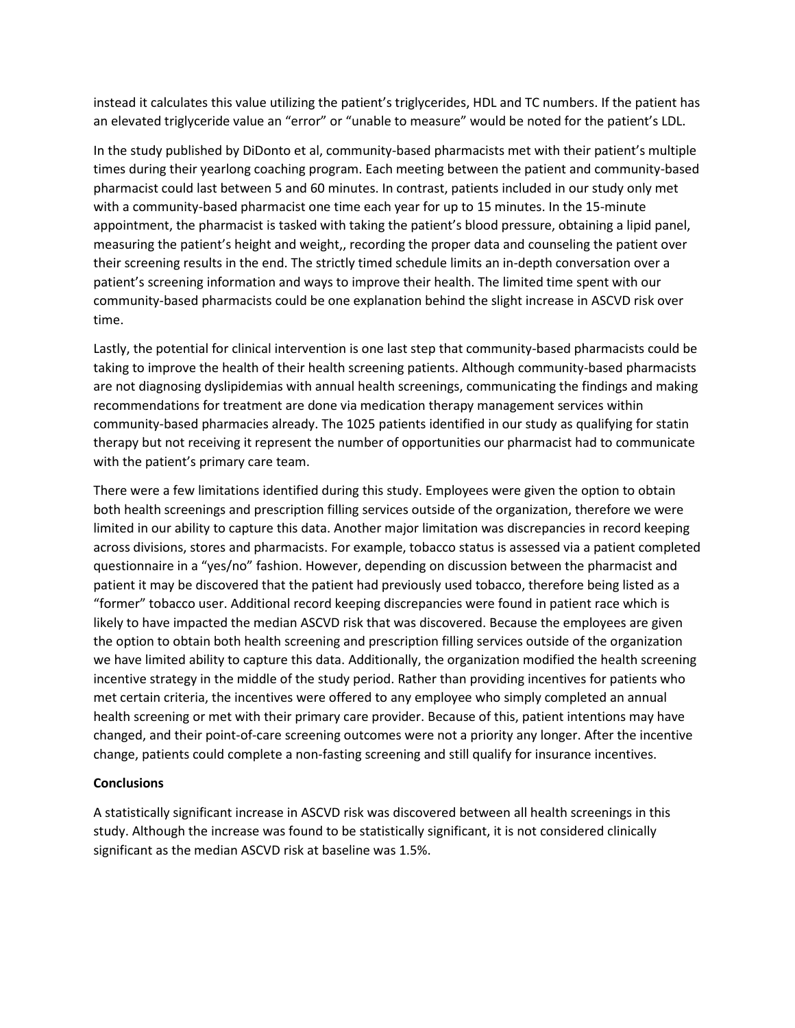instead it calculates this value utilizing the patient's triglycerides, HDL and TC numbers. If the patient has an elevated triglyceride value an "error" or "unable to measure" would be noted for the patient's LDL.

In the study published by DiDonto et al, community-based pharmacists met with their patient's multiple times during their yearlong coaching program. Each meeting between the patient and community-based pharmacist could last between 5 and 60 minutes. In contrast, patients included in our study only met with a community-based pharmacist one time each year for up to 15 minutes. In the 15-minute appointment, the pharmacist is tasked with taking the patient's blood pressure, obtaining a lipid panel, measuring the patient's height and weight,, recording the proper data and counseling the patient over their screening results in the end. The strictly timed schedule limits an in-depth conversation over a patient's screening information and ways to improve their health. The limited time spent with our community-based pharmacists could be one explanation behind the slight increase in ASCVD risk over time.

Lastly, the potential for clinical intervention is one last step that community-based pharmacists could be taking to improve the health of their health screening patients. Although community-based pharmacists are not diagnosing dyslipidemias with annual health screenings, communicating the findings and making recommendations for treatment are done via medication therapy management services within community-based pharmacies already. The 1025 patients identified in our study as qualifying for statin therapy but not receiving it represent the number of opportunities our pharmacist had to communicate with the patient's primary care team.

There were a few limitations identified during this study. Employees were given the option to obtain both health screenings and prescription filling services outside of the organization, therefore we were limited in our ability to capture this data. Another major limitation was discrepancies in record keeping across divisions, stores and pharmacists. For example, tobacco status is assessed via a patient completed questionnaire in a "yes/no" fashion. However, depending on discussion between the pharmacist and patient it may be discovered that the patient had previously used tobacco, therefore being listed as a "former" tobacco user. Additional record keeping discrepancies were found in patient race which is likely to have impacted the median ASCVD risk that was discovered. Because the employees are given the option to obtain both health screening and prescription filling services outside of the organization we have limited ability to capture this data. Additionally, the organization modified the health screening incentive strategy in the middle of the study period. Rather than providing incentives for patients who met certain criteria, the incentives were offered to any employee who simply completed an annual health screening or met with their primary care provider. Because of this, patient intentions may have changed, and their point-of-care screening outcomes were not a priority any longer. After the incentive change, patients could complete a non-fasting screening and still qualify for insurance incentives.

# **Conclusions**

A statistically significant increase in ASCVD risk was discovered between all health screenings in this study. Although the increase was found to be statistically significant, it is not considered clinically significant as the median ASCVD risk at baseline was 1.5%.